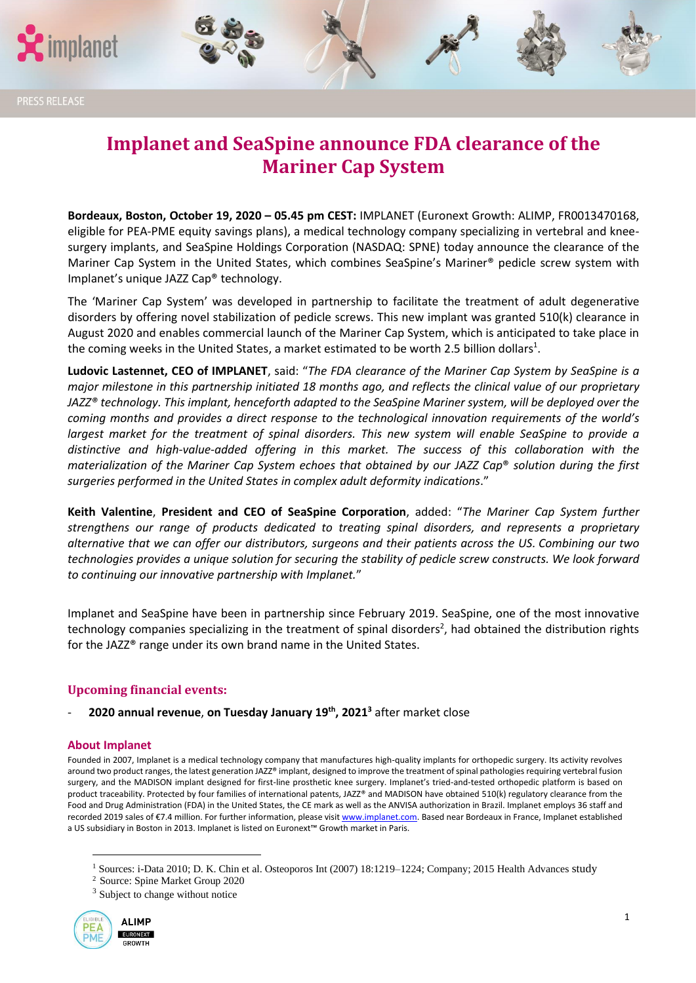

# **Implanet and SeaSpine announce FDA clearance of the Mariner Cap System**

**Bordeaux, Boston, October 19, 2020 – 05.45 pm CEST:** IMPLANET (Euronext Growth: ALIMP, FR0013470168, eligible for PEA-PME equity savings plans), a medical technology company specializing in vertebral and kneesurgery implants, and SeaSpine Holdings Corporation (NASDAQ: SPNE) today announce the clearance of the Mariner Cap System in the United States, which combines SeaSpine's Mariner® pedicle screw system with Implanet's unique JAZZ Cap® technology.

The 'Mariner Cap System' was developed in partnership to facilitate the treatment of adult degenerative disorders by offering novel stabilization of pedicle screws. This new implant was granted 510(k) clearance in August 2020 and enables commercial launch of the Mariner Cap System, which is anticipated to take place in the coming weeks in the United States, a market estimated to be worth 2.5 billion dollars<sup>1</sup>.

**Ludovic Lastennet, CEO of IMPLANET**, said: "*The FDA clearance of the Mariner Cap System by SeaSpine is a major milestone in this partnership initiated 18 months ago, and reflects the clinical value of our proprietary JAZZ® technology. This implant, henceforth adapted to the SeaSpine Mariner system, will be deployed over the coming months and provides a direct response to the technological innovation requirements of the world's largest market for the treatment of spinal disorders. This new system will enable SeaSpine to provide a distinctive and high-value-added offering in this market. The success of this collaboration with the materialization of the Mariner Cap System echoes that obtained by our JAZZ Cap*® *solution during the first surgeries performed in the United States in complex adult deformity indications*."

**Keith Valentine**, **President and CEO of SeaSpine Corporation**, added: "*The Mariner Cap System further strengthens our range of products dedicated to treating spinal disorders, and represents a proprietary alternative that we can offer our distributors, surgeons and their patients across the US. Combining our two technologies provides a unique solution for securing the stability of pedicle screw constructs. We look forward to continuing our innovative partnership with Implanet.*"

Implanet and SeaSpine have been in partnership since February 2019. SeaSpine, one of the most innovative technology companies specializing in the treatment of spinal disorders<sup>2</sup>, had obtained the distribution rights for the JAZZ® range under its own brand name in the United States.

## **Upcoming financial events:**

- **2020 annual revenue**, **on Tuesday January 19th, 2021<sup>3</sup>** after market close

### **About Implanet**

Founded in 2007, Implanet is a medical technology company that manufactures high-quality implants for orthopedic surgery. Its activity revolves around two product ranges, the latest generation JAZZ® implant, designed to improve the treatment of spinal pathologies requiring vertebral fusion surgery, and the MADISON implant designed for first-line prosthetic knee surgery. Implanet's tried-and-tested orthopedic platform is based on product traceability. Protected by four families of international patents, JAZZ® and MADISON have obtained 510(k) regulatory clearance from the Food and Drug Administration (FDA) in the United States, the CE mark as well as the ANVISA authorization in Brazil. Implanet employs 36 staff and recorded 2019 sales of €7.4 million. For further information, please visi[t www.implanet.com.](http://www.implanet.com/) Based near Bordeaux in France, Implanet established a US subsidiary in Boston in 2013. Implanet is listed on Euronext™ Growth market in Paris.

<sup>&</sup>lt;sup>3</sup> Subject to change without notice



<sup>&</sup>lt;sup>1</sup> Sources: i-Data 2010; D. K. Chin et al. Osteoporos Int (2007) 18:1219-1224; Company; 2015 Health Advances study

<sup>&</sup>lt;sup>2</sup> Source: Spine Market Group 2020